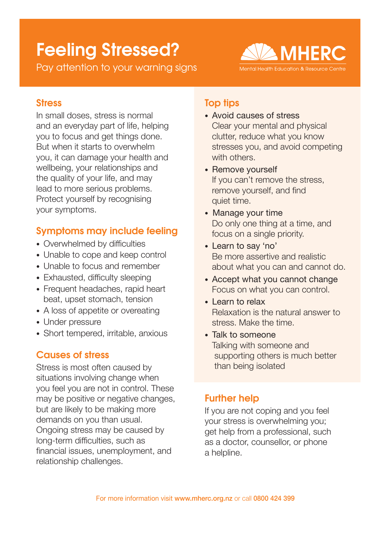# Feeling Stressed?

Pay attention to your warning signs



#### **Stress**

In small doses, stress is normal and an everyday part of life, helping you to focus and get things done. But when it starts to overwhelm you, it can damage your health and wellbeing, your relationships and the quality of your life, and may lead to more serious problems. Protect yourself by recognising your symptoms.

## Symptoms may include feeling

- Overwhelmed by difficulties
- Unable to cope and keep control
- Unable to focus and remember
- Exhausted, difficulty sleeping
- Frequent headaches, rapid heart beat, upset stomach, tension
- A loss of appetite or overeating
- Under pressure
- Short tempered, irritable, anxious

#### Causes of stress

Stress is most often caused by situations involving change when you feel you are not in control. These may be positive or negative changes, but are likely to be making more demands on you than usual. Ongoing stress may be caused by long-term difficulties, such as financial issues, unemployment, and relationship challenges.

## Top tips

- Avoid causes of stress Clear your mental and physical clutter, reduce what you know stresses you, and avoid competing with others.
- Remove yourself If you can't remove the stress, remove yourself, and find quiet time.
- Manage your time Do only one thing at a time, and focus on a single priority.
- Learn to say 'no' Be more assertive and realistic about what you can and cannot do.
- Accept what you cannot change Focus on what you can control.
- Learn to relax Relaxation is the natural answer to stress. Make the time.
- Talk to someone Talking with someone and supporting others is much better than being isolated

## Further help

If you are not coping and you feel your stress is overwhelming you; get help from a professional, such as a doctor, counsellor, or phone a helpline.